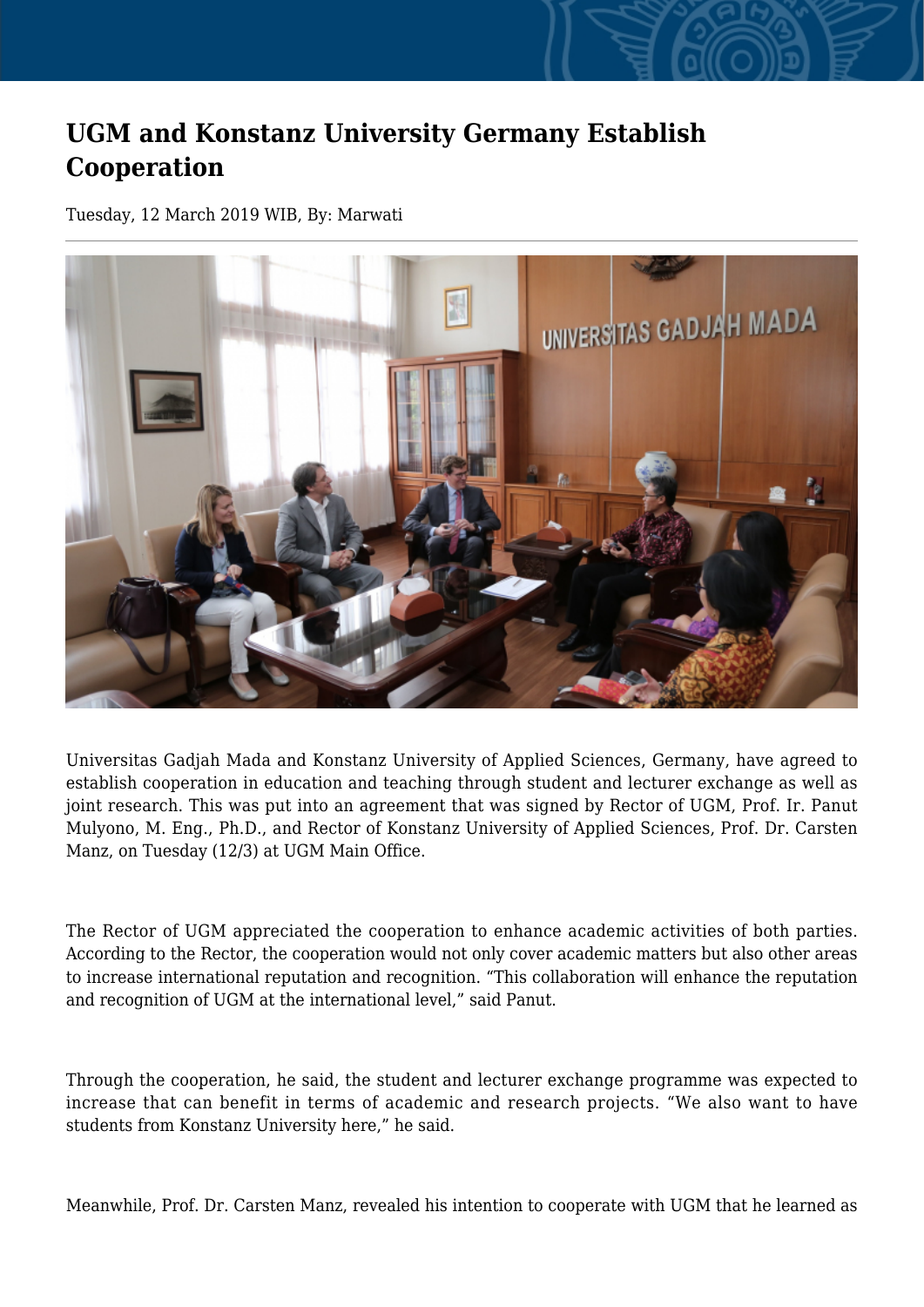## **UGM and Konstanz University Germany Establish Cooperation**

Tuesday, 12 March 2019 WIB, By: Marwati



Universitas Gadjah Mada and Konstanz University of Applied Sciences, Germany, have agreed to establish cooperation in education and teaching through student and lecturer exchange as well as joint research. This was put into an agreement that was signed by Rector of UGM, Prof. Ir. Panut Mulyono, M. Eng., Ph.D., and Rector of Konstanz University of Applied Sciences, Prof. Dr. Carsten Manz, on Tuesday (12/3) at UGM Main Office.

The Rector of UGM appreciated the cooperation to enhance academic activities of both parties. According to the Rector, the cooperation would not only cover academic matters but also other areas to increase international reputation and recognition. "This collaboration will enhance the reputation and recognition of UGM at the international level," said Panut.

Through the cooperation, he said, the student and lecturer exchange programme was expected to increase that can benefit in terms of academic and research projects. "We also want to have students from Konstanz University here," he said.

Meanwhile, Prof. Dr. Carsten Manz, revealed his intention to cooperate with UGM that he learned as